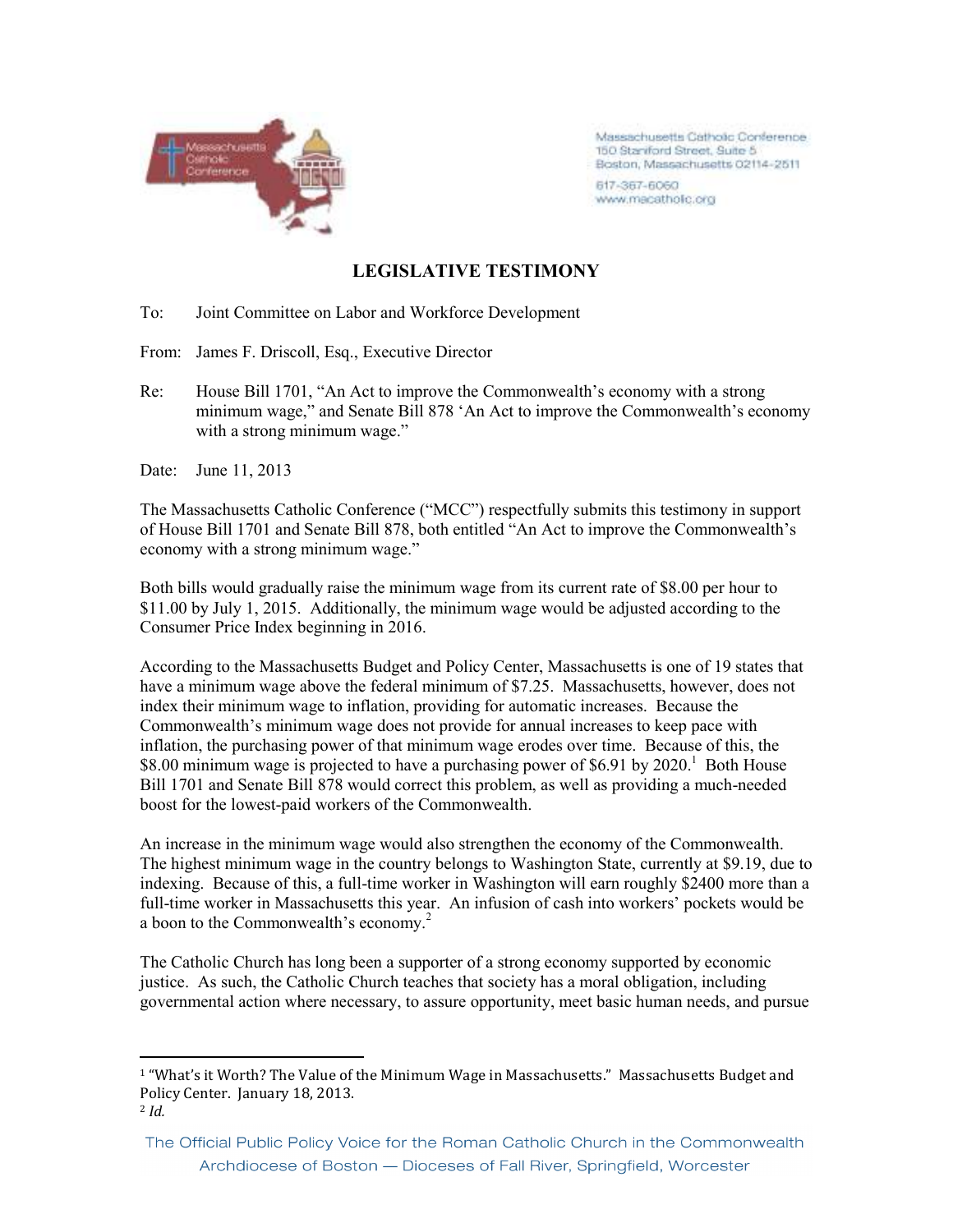

Massachusetts Catholic Conference 150 Staniford Street, Suite 5 Boston, Massachusetts 02114-2511

617-367-6060 www.macatholic.org

## **LEGISLATIVE TESTIMONY**

To: Joint Committee on Labor and Workforce Development

From: James F. Driscoll, Esq., Executive Director

Re: House Bill 1701, "An Act to improve the Commonwealth's economy with a strong minimum wage," and Senate Bill 878 'An Act to improve the Commonwealth's economy with a strong minimum wage."

Date: June 11, 2013

<u>.</u>

The Massachusetts Catholic Conference ("MCC") respectfully submits this testimony in support of House Bill 1701 and Senate Bill 878, both entitled "An Act to improve the Commonwealth's economy with a strong minimum wage."

Both bills would gradually raise the minimum wage from its current rate of \$8.00 per hour to \$11.00 by July 1, 2015. Additionally, the minimum wage would be adjusted according to the Consumer Price Index beginning in 2016.

According to the Massachusetts Budget and Policy Center, Massachusetts is one of 19 states that have a minimum wage above the federal minimum of \$7.25. Massachusetts, however, does not index their minimum wage to inflation, providing for automatic increases. Because the Commonwealth's minimum wage does not provide for annual increases to keep pace with inflation, the purchasing power of that minimum wage erodes over time. Because of this, the  $$8.00$  minimum wage is projected to have a purchasing power of  $$6.91$  by  $2020$ .<sup>1</sup> Both House Bill 1701 and Senate Bill 878 would correct this problem, as well as providing a much-needed boost for the lowest-paid workers of the Commonwealth.

An increase in the minimum wage would also strengthen the economy of the Commonwealth. The highest minimum wage in the country belongs to Washington State, currently at \$9.19, due to indexing. Because of this, a full-time worker in Washington will earn roughly \$2400 more than a full-time worker in Massachusetts this year. An infusion of cash into workers' pockets would be a boon to the Commonwealth's economy.<sup>2</sup>

The Catholic Church has long been a supporter of a strong economy supported by economic justice. As such, the Catholic Church teaches that society has a moral obligation, including governmental action where necessary, to assure opportunity, meet basic human needs, and pursue

<sup>&</sup>lt;sup>1</sup> "What's it Worth? The Value of the Minimum Wage in Massachusetts." Massachusetts Budget and Policy Center. January 18, 2013. <sup>2</sup> *Id.*

The Official Public Policy Voice for the Roman Catholic Church in the Commonwealth Archdiocese of Boston - Dioceses of Fall River, Springfield, Worcester